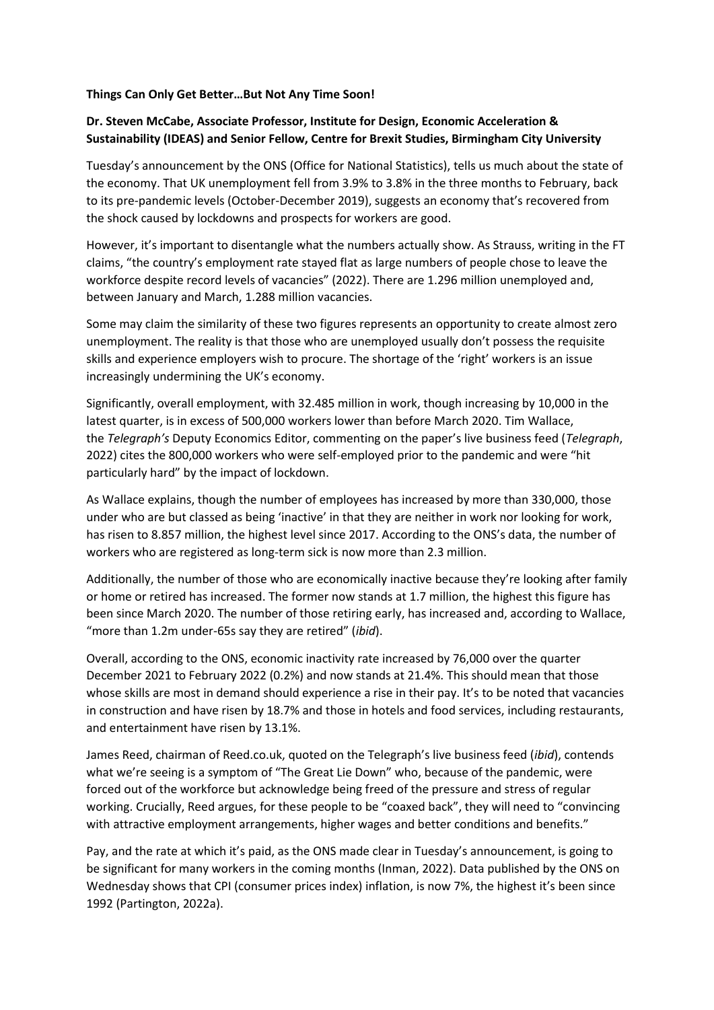## **Things Can Only Get Better…But Not Any Time Soon!**

## **Dr. Steven McCabe, Associate Professor, Institute for Design, Economic Acceleration & Sustainability (IDEAS) and Senior Fellow, Centre for Brexit Studies, Birmingham City University**

Tuesday's announcement by the ONS (Office for National Statistics), tells us much about the state of the economy. That UK unemployment fell from 3.9% to 3.8% in the three months to February, back to its pre-pandemic levels (October-December 2019), suggests an economy that's recovered from the shock caused by lockdowns and prospects for workers are good.

However, it's important to disentangle what the numbers actually show. As Strauss, writing in the FT claims, "the country's employment rate stayed flat as large numbers of people chose to leave the workforce despite record levels of vacancies" (2022). There are 1.296 million unemployed and, between January and March, 1.288 million vacancies.

Some may claim the similarity of these two figures represents an opportunity to create almost zero unemployment. The reality is that those who are unemployed usually don't possess the requisite skills and experience employers wish to procure. The shortage of the 'right' workers is an issue increasingly undermining the UK's economy.

Significantly, overall employment, with 32.485 million in work, though increasing by 10,000 in the latest quarter, is in excess of 500,000 workers lower than before March 2020. Tim Wallace, the *Telegraph's* Deputy Economics Editor, commenting on the paper's live business feed (*Telegraph*, 2022) cites the 800,000 workers who were self-employed prior to the pandemic and were "hit particularly hard" by the impact of lockdown.

As Wallace explains, though the number of employees has increased by more than 330,000, those under who are but classed as being 'inactive' in that they are neither in work nor looking for work, has risen to 8.857 million, the highest level since 2017. According to the ONS's data, the number of workers who are registered as long-term sick is now more than 2.3 million.

Additionally, the number of those who are economically inactive because they're looking after family or home or retired has increased. The former now stands at 1.7 million, the highest this figure has been since March 2020. The number of those retiring early, has increased and, according to Wallace, "more than 1.2m under-65s say they are retired" (*ibid*).

Overall, according to the ONS, economic inactivity rate increased by 76,000 over the quarter December 2021 to February 2022 (0.2%) and now stands at 21.4%. This should mean that those whose skills are most in demand should experience a rise in their pay. It's to be noted that vacancies in construction and have risen by 18.7% and those in hotels and food services, including restaurants, and entertainment have risen by 13.1%.

James Reed, chairman of Reed.co.uk, quoted on the Telegraph's live business feed (*ibid*), contends what we're seeing is a symptom of "The Great Lie Down" who, because of the pandemic, were forced out of the workforce but acknowledge being freed of the pressure and stress of regular working. Crucially, Reed argues, for these people to be "coaxed back", they will need to "convincing with attractive employment arrangements, higher wages and better conditions and benefits."

Pay, and the rate at which it's paid, as the ONS made clear in Tuesday's announcement, is going to be significant for many workers in the coming months (Inman, 2022). Data published by the ONS on Wednesday shows that CPI (consumer prices index) inflation, is now 7%, the highest it's been since 1992 (Partington, 2022a).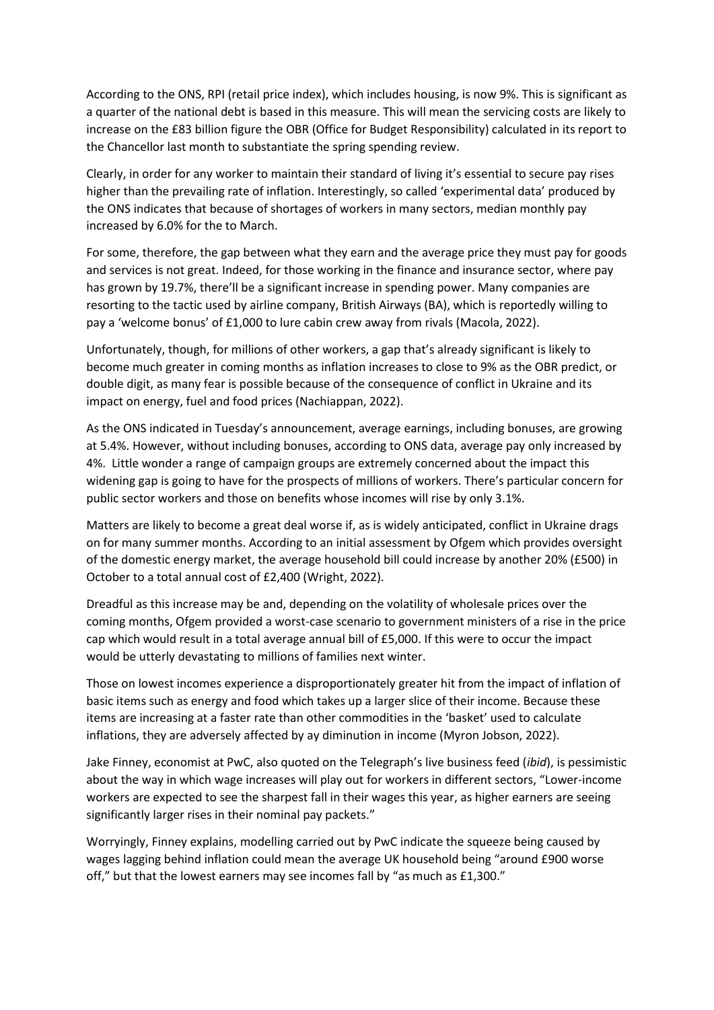According to the ONS, RPI (retail price index), which includes housing, is now 9%. This is significant as a quarter of the national debt is based in this measure. This will mean the servicing costs are likely to increase on the £83 billion figure the OBR (Office for Budget Responsibility) calculated in its report to the Chancellor last month to substantiate the spring spending review.

Clearly, in order for any worker to maintain their standard of living it's essential to secure pay rises higher than the prevailing rate of inflation. Interestingly, so called 'experimental data' produced by the ONS indicates that because of shortages of workers in many sectors, median monthly pay increased by 6.0% for the to March.

For some, therefore, the gap between what they earn and the average price they must pay for goods and services is not great. Indeed, for those working in the finance and insurance sector, where pay has grown by 19.7%, there'll be a significant increase in spending power. Many companies are resorting to the tactic used by airline company, British Airways (BA), which is reportedly willing to pay a 'welcome bonus' of £1,000 to lure cabin crew away from rivals (Macola, 2022).

Unfortunately, though, for millions of other workers, a gap that's already significant is likely to become much greater in coming months as inflation increases to close to 9% as the OBR predict, or double digit, as many fear is possible because of the consequence of conflict in Ukraine and its impact on energy, fuel and food prices (Nachiappan, 2022).

As the ONS indicated in Tuesday's announcement, average earnings, including bonuses, are growing at 5.4%. However, without including bonuses, according to ONS data, average pay only increased by 4%. Little wonder a range of campaign groups are extremely concerned about the impact this widening gap is going to have for the prospects of millions of workers. There's particular concern for public sector workers and those on benefits whose incomes will rise by only 3.1%.

Matters are likely to become a great deal worse if, as is widely anticipated, conflict in Ukraine drags on for many summer months. According to an initial assessment by Ofgem which provides oversight of the domestic energy market, the average household bill could increase by another 20% (£500) in October to a total annual cost of £2,400 (Wright, 2022).

Dreadful as this increase may be and, depending on the volatility of wholesale prices over the coming months, Ofgem provided a worst-case scenario to government ministers of a rise in the price cap which would result in a total average annual bill of £5,000. If this were to occur the impact would be utterly devastating to millions of families next winter.

Those on lowest incomes experience a disproportionately greater hit from the impact of inflation of basic items such as energy and food which takes up a larger slice of their income. Because these items are increasing at a faster rate than other commodities in the 'basket' used to calculate inflations, they are adversely affected by ay diminution in income (Myron Jobson, 2022).

Jake Finney, economist at PwC, also quoted on the Telegraph's live business feed (*ibid*), is pessimistic about the way in which wage increases will play out for workers in different sectors, "Lower-income workers are expected to see the sharpest fall in their wages this year, as higher earners are seeing significantly larger rises in their nominal pay packets."

Worryingly, Finney explains, modelling carried out by PwC indicate the squeeze being caused by wages lagging behind inflation could mean the average UK household being "around £900 worse off," but that the lowest earners may see incomes fall by "as much as £1,300."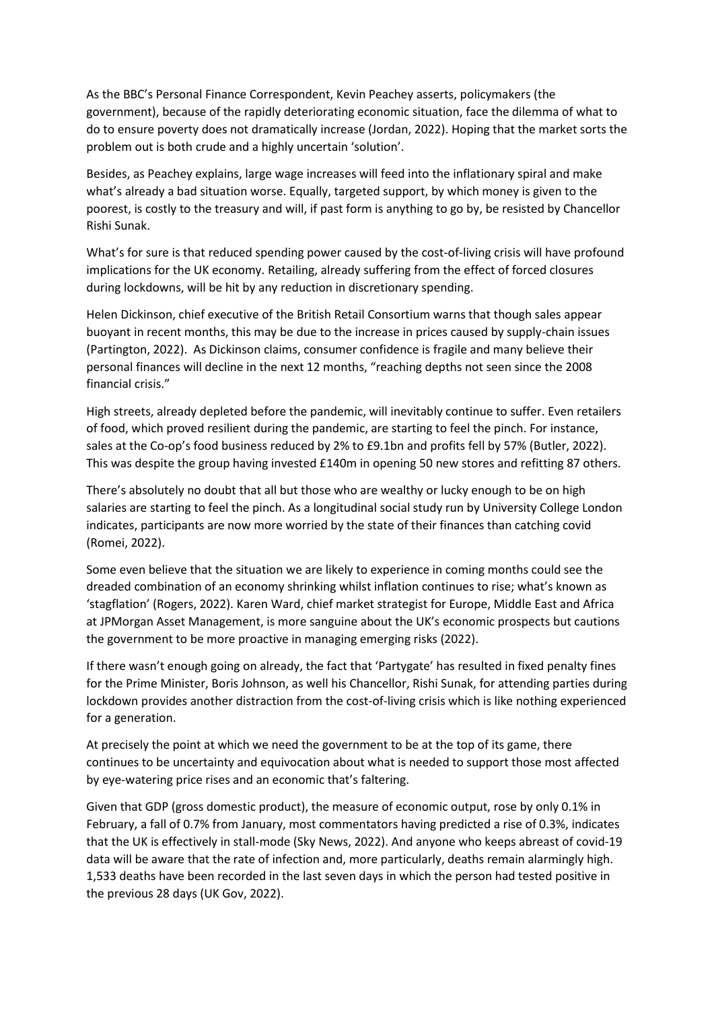As the BBC's Personal Finance Correspondent, Kevin Peachey asserts, policymakers (the government), because of the rapidly deteriorating economic situation, face the dilemma of what to do to ensure poverty does not dramatically increase (Jordan, 2022). Hoping that the market sorts the problem out is both crude and a highly uncertain 'solution'.

Besides, as Peachey explains, large wage increases will feed into the inflationary spiral and make what's already a bad situation worse. Equally, targeted support, by which money is given to the poorest, is costly to the treasury and will, if past form is anything to go by, be resisted by Chancellor Rishi Sunak.

What's for sure is that reduced spending power caused by the cost-of-living crisis will have profound implications for the UK economy. Retailing, already suffering from the effect of forced closures during lockdowns, will be hit by any reduction in discretionary spending.

Helen Dickinson, chief executive of the British Retail Consortium warns that though sales appear buoyant in recent months, this may be due to the increase in prices caused by supply-chain issues (Partington, 2022). As Dickinson claims, consumer confidence is fragile and many believe their personal finances will decline in the next 12 months, "reaching depths not seen since the 2008 financial crisis."

High streets, already depleted before the pandemic, will inevitably continue to suffer. Even retailers of food, which proved resilient during the pandemic, are starting to feel the pinch. For instance, sales at the Co-op's food business reduced by 2% to £9.1bn and profits fell by 57% (Butler, 2022). This was despite the group having invested £140m in opening 50 new stores and refitting 87 others.

There's absolutely no doubt that all but those who are wealthy or lucky enough to be on high salaries are starting to feel the pinch. As a longitudinal social study run by University College London indicates, participants are now more worried by the state of their finances than catching covid (Romei, 2022).

Some even believe that the situation we are likely to experience in coming months could see the dreaded combination of an economy shrinking whilst inflation continues to rise; what's known as 'stagflation' (Rogers, 2022). Karen Ward, chief market strategist for Europe, Middle East and Africa at JPMorgan Asset Management, is more sanguine about the UK's economic prospects but cautions the government to be more proactive in managing emerging risks (2022).

If there wasn't enough going on already, the fact that 'Partygate' has resulted in fixed penalty fines for the Prime Minister, Boris Johnson, as well his Chancellor, Rishi Sunak, for attending parties during lockdown provides another distraction from the cost-of-living crisis which is like nothing experienced for a generation.

At precisely the point at which we need the government to be at the top of its game, there continues to be uncertainty and equivocation about what is needed to support those most affected by eye-watering price rises and an economic that's faltering.

Given that GDP (gross domestic product), the measure of economic output, rose by only 0.1% in February, a fall of 0.7% from January, most commentators having predicted a rise of 0.3%, indicates that the UK is effectively in stall-mode (Sky News, 2022). And anyone who keeps abreast of covid-19 data will be aware that the rate of infection and, more particularly, deaths remain alarmingly high. 1,533 deaths have been recorded in the last seven days in which the person had tested positive in the previous 28 days (UK Gov, 2022).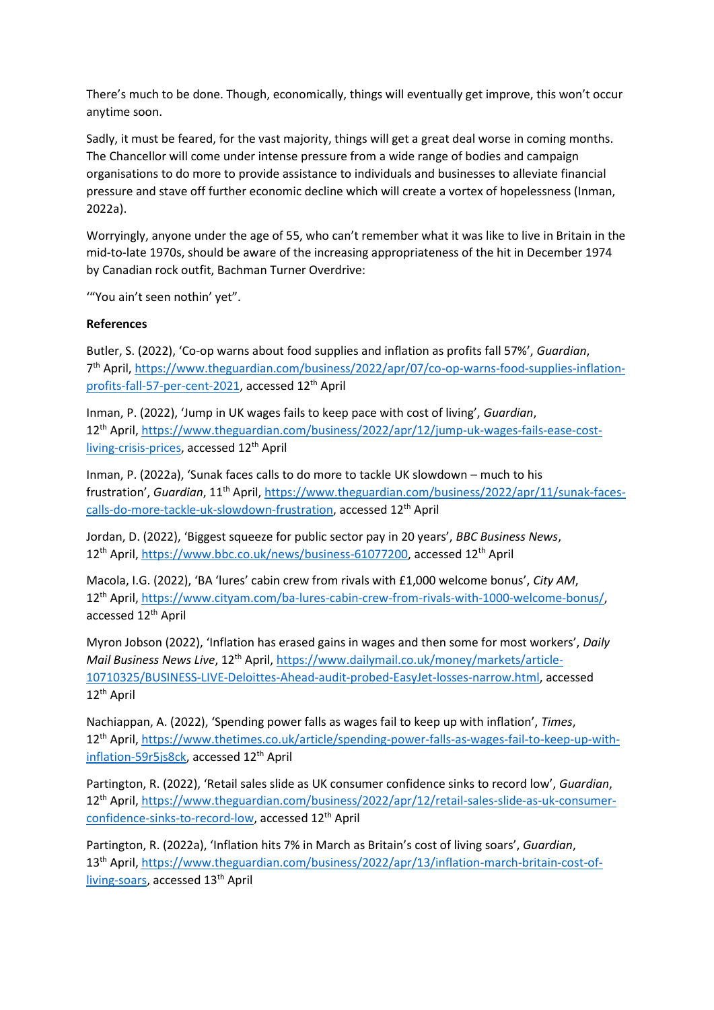There's much to be done. Though, economically, things will eventually get improve, this won't occur anytime soon.

Sadly, it must be feared, for the vast majority, things will get a great deal worse in coming months. The Chancellor will come under intense pressure from a wide range of bodies and campaign organisations to do more to provide assistance to individuals and businesses to alleviate financial pressure and stave off further economic decline which will create a vortex of hopelessness (Inman, 2022a).

Worryingly, anyone under the age of 55, who can't remember what it was like to live in Britain in the mid-to-late 1970s, should be aware of the increasing appropriateness of the hit in December 1974 by Canadian rock outfit, Bachman Turner Overdrive:

'"You ain't seen nothin' yet".

## **References**

Butler, S. (2022), 'Co-op warns about food supplies and inflation as profits fall 57%', *Guardian*, 7<sup>th</sup> April, [https://www.theguardian.com/business/2022/apr/07/co-op-warns-food-supplies-inflation](https://www.theguardian.com/business/2022/apr/07/co-op-warns-food-supplies-inflation-profits-fall-57-per-cent-2021)[profits-fall-57-per-cent-2021,](https://www.theguardian.com/business/2022/apr/07/co-op-warns-food-supplies-inflation-profits-fall-57-per-cent-2021) accessed 12<sup>th</sup> April

Inman, P. (2022), 'Jump in UK wages fails to keep pace with cost of living', *Guardian*, 12th April, [https://www.theguardian.com/business/2022/apr/12/jump-uk-wages-fails-ease-cost](https://www.theguardian.com/business/2022/apr/12/jump-uk-wages-fails-ease-cost-living-crisis-prices)[living-crisis-prices,](https://www.theguardian.com/business/2022/apr/12/jump-uk-wages-fails-ease-cost-living-crisis-prices) accessed 12<sup>th</sup> April

Inman, P. (2022a), 'Sunak faces calls to do more to tackle UK slowdown – much to his frustration', *Guardian*, 11<sup>th</sup> April, [https://www.theguardian.com/business/2022/apr/11/sunak-faces](https://www.theguardian.com/business/2022/apr/11/sunak-faces-calls-do-more-tackle-uk-slowdown-frustration)[calls-do-more-tackle-uk-slowdown-frustration,](https://www.theguardian.com/business/2022/apr/11/sunak-faces-calls-do-more-tackle-uk-slowdown-frustration) accessed 12th April

Jordan, D. (2022), 'Biggest squeeze for public sector pay in 20 years', *BBC Business News*, 12<sup>th</sup> April, [https://www.bbc.co.uk/news/business-61077200,](https://www.bbc.co.uk/news/business-61077200) accessed 12<sup>th</sup> April

Macola, I.G. (2022), 'BA 'lures' cabin crew from rivals with £1,000 welcome bonus', *City AM*, 12th April, [https://www.cityam.com/ba-lures-cabin-crew-from-rivals-with-1000-welcome-bonus/,](https://www.cityam.com/ba-lures-cabin-crew-from-rivals-with-1000-welcome-bonus/) accessed 12<sup>th</sup> April

Myron Jobson (2022), 'Inflation has erased gains in wages and then some for most workers', *Daily Mail Business News Live*, 12<sup>th</sup> April, [https://www.dailymail.co.uk/money/markets/article-](https://www.dailymail.co.uk/money/markets/article-10710325/BUSINESS-LIVE-Deloittes-Ahead-audit-probed-EasyJet-losses-narrow.html)[10710325/BUSINESS-LIVE-Deloittes-Ahead-audit-probed-EasyJet-losses-narrow.html,](https://www.dailymail.co.uk/money/markets/article-10710325/BUSINESS-LIVE-Deloittes-Ahead-audit-probed-EasyJet-losses-narrow.html) accessed 12th April

Nachiappan, A. (2022), 'Spending power falls as wages fail to keep up with inflation', *Times*, 12th April, [https://www.thetimes.co.uk/article/spending-power-falls-as-wages-fail-to-keep-up-with](https://www.thetimes.co.uk/article/spending-power-falls-as-wages-fail-to-keep-up-with-inflation-59r5js8ck)[inflation-59r5js8ck,](https://www.thetimes.co.uk/article/spending-power-falls-as-wages-fail-to-keep-up-with-inflation-59r5js8ck) accessed 12<sup>th</sup> April

Partington, R. (2022), 'Retail sales slide as UK consumer confidence sinks to record low', *Guardian*, 12th April, [https://www.theguardian.com/business/2022/apr/12/retail-sales-slide-as-uk-consumer](https://www.theguardian.com/business/2022/apr/12/retail-sales-slide-as-uk-consumer-confidence-sinks-to-record-low)[confidence-sinks-to-record-low,](https://www.theguardian.com/business/2022/apr/12/retail-sales-slide-as-uk-consumer-confidence-sinks-to-record-low) accessed 12<sup>th</sup> April

Partington, R. (2022a), 'Inflation hits 7% in March as Britain's cost of living soars', *Guardian*, 13<sup>th</sup> April, [https://www.theguardian.com/business/2022/apr/13/inflation-march-britain-cost-of](https://www.theguardian.com/business/2022/apr/13/inflation-march-britain-cost-of-living-soars)[living-soars,](https://www.theguardian.com/business/2022/apr/13/inflation-march-britain-cost-of-living-soars) accessed 13<sup>th</sup> April